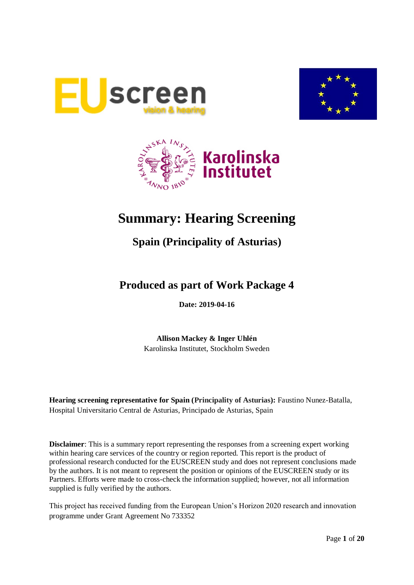





# **Summary: Hearing Screening**

## **Spain (Principality of Asturias)**

## **Produced as part of Work Package 4**

**Date: 2019-04-16**

**Allison Mackey & Inger Uhlén** Karolinska Institutet, Stockholm Sweden

**Hearing screening representative for Spain (Principality of Asturias):** Faustino Nunez-Batalla, Hospital Universitario Central de Asturias, Principado de Asturias, Spain

**Disclaimer**: This is a summary report representing the responses from a screening expert working within hearing care services of the country or region reported. This report is the product of professional research conducted for the EUSCREEN study and does not represent conclusions made by the authors. It is not meant to represent the position or opinions of the EUSCREEN study or its Partners. Efforts were made to cross-check the information supplied; however, not all information supplied is fully verified by the authors.

This project has received funding from the European Union's Horizon 2020 research and innovation programme under Grant Agreement No 733352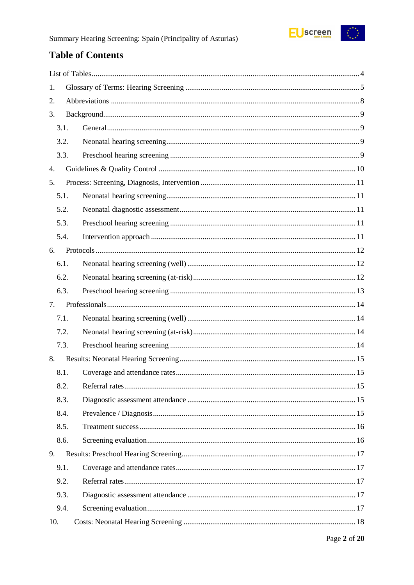

## **Table of Contents**

| 1.   |  |
|------|--|
| 2.   |  |
| 3.   |  |
| 3.1. |  |
| 3.2. |  |
| 3.3. |  |
| 4.   |  |
| 5.   |  |
| 5.1. |  |
| 5.2. |  |
| 5.3. |  |
| 5.4. |  |
| 6.   |  |
| 6.1. |  |
| 6.2. |  |
| 6.3. |  |
| 7.   |  |
| 7.1. |  |
| 7.2. |  |
| 7.3. |  |
| 8.   |  |
| 8.1. |  |
| 8.2. |  |
| 8.3. |  |
| 8.4. |  |
| 8.5. |  |
| 8.6. |  |
| 9.   |  |
| 9.1. |  |
| 9.2. |  |
| 9.3. |  |
| 9.4. |  |
| 10.  |  |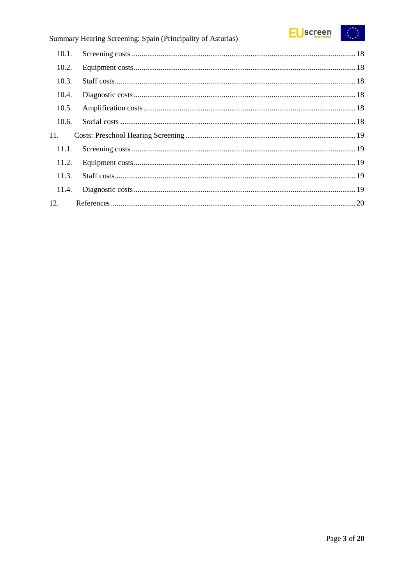

## Summary Hearing Screening: Spain (Principality of Asturias)

| 10.1. |  |
|-------|--|
| 10.2. |  |
| 10.3. |  |
| 10.4. |  |
| 10.5. |  |
| 10.6. |  |
| 11.   |  |
| 11.1. |  |
| 11.2. |  |
| 11.3. |  |
| 11.4. |  |
| 12.   |  |
|       |  |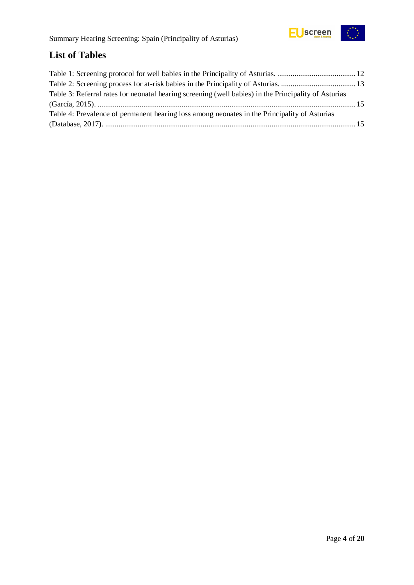

## <span id="page-3-0"></span>**List of Tables**

| Table 3: Referral rates for neonatal hearing screening (well babies) in the Principality of Asturias |  |
|------------------------------------------------------------------------------------------------------|--|
|                                                                                                      |  |
| Table 4: Prevalence of permanent hearing loss among neonates in the Principality of Asturias         |  |
|                                                                                                      |  |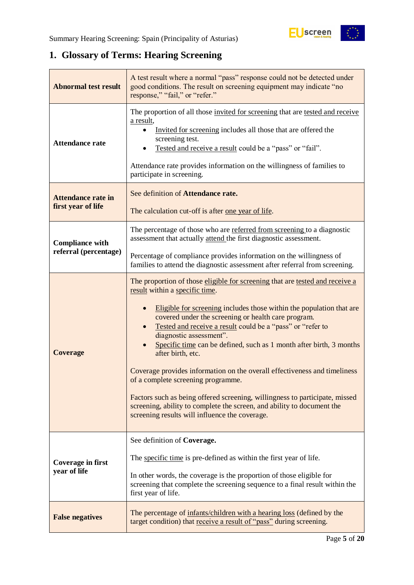## <span id="page-4-0"></span>**1. Glossary of Terms: Hearing Screening**

| <b>Abnormal test result</b>                     | A test result where a normal "pass" response could not be detected under<br>good conditions. The result on screening equipment may indicate "no<br>response," "fail," or "refer."                                                                                                                                                                                                                                                                                                                                                                                                                                                                                                                                                                                |  |  |
|-------------------------------------------------|------------------------------------------------------------------------------------------------------------------------------------------------------------------------------------------------------------------------------------------------------------------------------------------------------------------------------------------------------------------------------------------------------------------------------------------------------------------------------------------------------------------------------------------------------------------------------------------------------------------------------------------------------------------------------------------------------------------------------------------------------------------|--|--|
| <b>Attendance rate</b>                          | The proportion of all those invited for screening that are tested and receive<br>a result,<br>Invited for screening includes all those that are offered the<br>screening test.<br>Tested and receive a result could be a "pass" or "fail".<br>Attendance rate provides information on the willingness of families to<br>participate in screening.                                                                                                                                                                                                                                                                                                                                                                                                                |  |  |
| <b>Attendance rate in</b><br>first year of life | See definition of Attendance rate.<br>The calculation cut-off is after <u>one year of life</u> .                                                                                                                                                                                                                                                                                                                                                                                                                                                                                                                                                                                                                                                                 |  |  |
| <b>Compliance with</b>                          | The percentage of those who are referred from screening to a diagnostic<br>assessment that actually attend the first diagnostic assessment.                                                                                                                                                                                                                                                                                                                                                                                                                                                                                                                                                                                                                      |  |  |
| referral (percentage)                           | Percentage of compliance provides information on the willingness of<br>families to attend the diagnostic assessment after referral from screening.                                                                                                                                                                                                                                                                                                                                                                                                                                                                                                                                                                                                               |  |  |
| <b>Coverage</b>                                 | The proportion of those eligible for screening that are tested and receive a<br>result within a specific time.<br>Eligible for screening includes those within the population that are<br>covered under the screening or health care program.<br>Tested and receive a result could be a "pass" or "refer to<br>diagnostic assessment".<br>Specific time can be defined, such as 1 month after birth, 3 months<br>after birth, etc.<br>Coverage provides information on the overall effectiveness and timeliness<br>of a complete screening programme.<br>Factors such as being offered screening, willingness to participate, missed<br>screening, ability to complete the screen, and ability to document the<br>screening results will influence the coverage. |  |  |
| Coverage in first<br>year of life               | See definition of Coverage.<br>The specific time is pre-defined as within the first year of life.<br>In other words, the coverage is the proportion of those eligible for<br>screening that complete the screening sequence to a final result within the<br>first year of life.                                                                                                                                                                                                                                                                                                                                                                                                                                                                                  |  |  |
| <b>False negatives</b>                          | The percentage of infants/children with a hearing loss (defined by the<br>target condition) that receive a result of "pass" during screening.                                                                                                                                                                                                                                                                                                                                                                                                                                                                                                                                                                                                                    |  |  |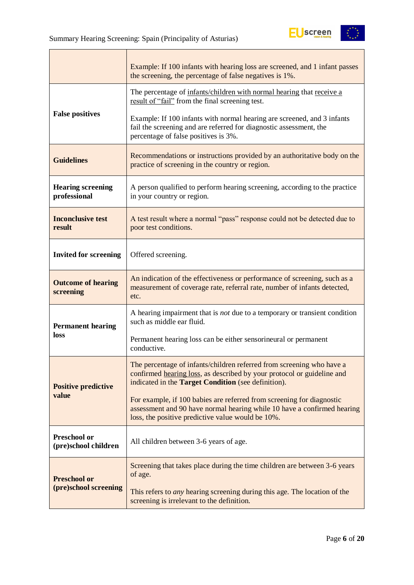

|                                             | Example: If 100 infants with hearing loss are screened, and 1 infant passes<br>the screening, the percentage of false negatives is 1%.                                                                        |  |  |  |  |
|---------------------------------------------|---------------------------------------------------------------------------------------------------------------------------------------------------------------------------------------------------------------|--|--|--|--|
|                                             | The percentage of infants/children with normal hearing that receive a<br>result of "fail" from the final screening test.                                                                                      |  |  |  |  |
| <b>False positives</b>                      | Example: If 100 infants with normal hearing are screened, and 3 infants<br>fail the screening and are referred for diagnostic assessment, the<br>percentage of false positives is 3%.                         |  |  |  |  |
| <b>Guidelines</b>                           | Recommendations or instructions provided by an authoritative body on the<br>practice of screening in the country or region.                                                                                   |  |  |  |  |
| <b>Hearing screening</b><br>professional    | A person qualified to perform hearing screening, according to the practice<br>in your country or region.                                                                                                      |  |  |  |  |
| <b>Inconclusive test</b><br>result          | A test result where a normal "pass" response could not be detected due to<br>poor test conditions.                                                                                                            |  |  |  |  |
| <b>Invited for screening</b>                | Offered screening.                                                                                                                                                                                            |  |  |  |  |
| <b>Outcome of hearing</b><br>screening      | An indication of the effectiveness or performance of screening, such as a<br>measurement of coverage rate, referral rate, number of infants detected,<br>etc.                                                 |  |  |  |  |
| <b>Permanent hearing</b>                    | A hearing impairment that is <i>not</i> due to a temporary or transient condition<br>such as middle ear fluid.                                                                                                |  |  |  |  |
| loss                                        | Permanent hearing loss can be either sensorineural or permanent<br>conductive.                                                                                                                                |  |  |  |  |
| <b>Positive predictive</b>                  | The percentage of infants/children referred from screening who have a<br>confirmed hearing loss, as described by your protocol or guideline and<br>indicated in the <b>Target Condition</b> (see definition). |  |  |  |  |
| value                                       | For example, if 100 babies are referred from screening for diagnostic<br>assessment and 90 have normal hearing while 10 have a confirmed hearing<br>loss, the positive predictive value would be 10%.         |  |  |  |  |
| <b>Preschool or</b><br>(pre)school children | All children between 3-6 years of age.                                                                                                                                                                        |  |  |  |  |
| <b>Preschool or</b>                         | Screening that takes place during the time children are between 3-6 years<br>of age.                                                                                                                          |  |  |  |  |
| (pre)school screening                       | This refers to <i>any</i> hearing screening during this age. The location of the<br>screening is irrelevant to the definition.                                                                                |  |  |  |  |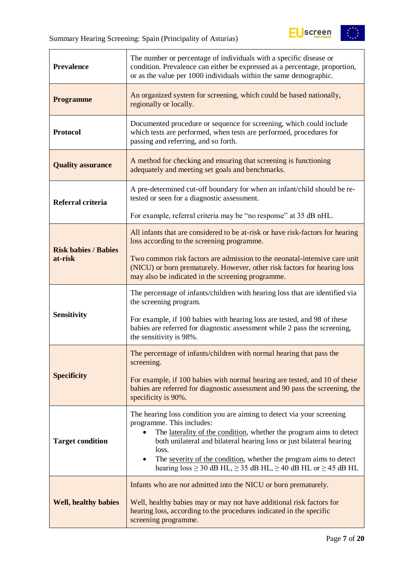

| <b>Prevalence</b>           | The number or percentage of individuals with a specific disease or<br>condition. Prevalence can either be expressed as a percentage, proportion,<br>or as the value per 1000 individuals within the same demographic.                                                                                                                                                                                                                       |  |  |  |
|-----------------------------|---------------------------------------------------------------------------------------------------------------------------------------------------------------------------------------------------------------------------------------------------------------------------------------------------------------------------------------------------------------------------------------------------------------------------------------------|--|--|--|
| <b>Programme</b>            | An organized system for screening, which could be based nationally,<br>regionally or locally.                                                                                                                                                                                                                                                                                                                                               |  |  |  |
| <b>Protocol</b>             | Documented procedure or sequence for screening, which could include<br>which tests are performed, when tests are performed, procedures for<br>passing and referring, and so forth.                                                                                                                                                                                                                                                          |  |  |  |
| <b>Quality assurance</b>    | A method for checking and ensuring that screening is functioning<br>adequately and meeting set goals and benchmarks.                                                                                                                                                                                                                                                                                                                        |  |  |  |
| Referral criteria           | A pre-determined cut-off boundary for when an infant/child should be re-<br>tested or seen for a diagnostic assessment.                                                                                                                                                                                                                                                                                                                     |  |  |  |
|                             | For example, referral criteria may be "no response" at 35 dB nHL.                                                                                                                                                                                                                                                                                                                                                                           |  |  |  |
| <b>Risk babies / Babies</b> | All infants that are considered to be at-risk or have risk-factors for hearing<br>loss according to the screening programme.                                                                                                                                                                                                                                                                                                                |  |  |  |
| at-risk                     | Two common risk factors are admission to the neonatal-intensive care unit<br>(NICU) or born prematurely. However, other risk factors for hearing loss<br>may also be indicated in the screening programme.                                                                                                                                                                                                                                  |  |  |  |
|                             | The percentage of infants/children with hearing loss that are identified via<br>the screening program.                                                                                                                                                                                                                                                                                                                                      |  |  |  |
| <b>Sensitivity</b>          | For example, if 100 babies with hearing loss are tested, and 98 of these<br>babies are referred for diagnostic assessment while 2 pass the screening,<br>the sensitivity is 98%.                                                                                                                                                                                                                                                            |  |  |  |
|                             | The percentage of infants/children with normal hearing that pass the<br>screening.                                                                                                                                                                                                                                                                                                                                                          |  |  |  |
| <b>Specificity</b>          | For example, if 100 babies with normal hearing are tested, and 10 of these<br>babies are referred for diagnostic assessment and 90 pass the screening, the<br>specificity is 90%.                                                                                                                                                                                                                                                           |  |  |  |
| <b>Target condition</b>     | The hearing loss condition you are aiming to detect via your screening<br>programme. This includes:<br>The laterality of the condition, whether the program aims to detect<br>$\bullet$<br>both unilateral and bilateral hearing loss or just bilateral hearing<br>loss.<br>The severity of the condition, whether the program aims to detect<br>$\bullet$<br>hearing $loss \ge 30$ dB HL, $\ge 35$ dB HL, $\ge 40$ dB HL or $\ge 45$ dB HL |  |  |  |
| <b>Well, healthy babies</b> | Infants who are <i>not</i> admitted into the NICU or born prematurely.<br>Well, healthy babies may or may not have additional risk factors for<br>hearing loss, according to the procedures indicated in the specific<br>screening programme.                                                                                                                                                                                               |  |  |  |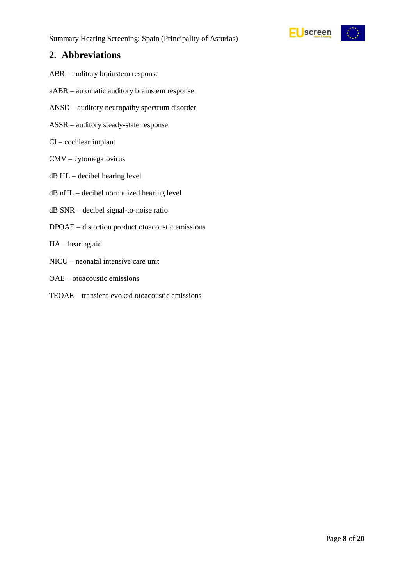

## <span id="page-7-0"></span>**2. Abbreviations**

- ABR auditory brainstem response
- aABR automatic auditory brainstem response
- ANSD auditory neuropathy spectrum disorder
- ASSR auditory steady-state response
- CI cochlear implant
- CMV cytomegalovirus
- dB HL decibel hearing level
- dB nHL decibel normalized hearing level
- dB SNR decibel signal-to-noise ratio
- DPOAE distortion product otoacoustic emissions
- HA hearing aid
- NICU neonatal intensive care unit
- OAE otoacoustic emissions
- TEOAE transient-evoked otoacoustic emissions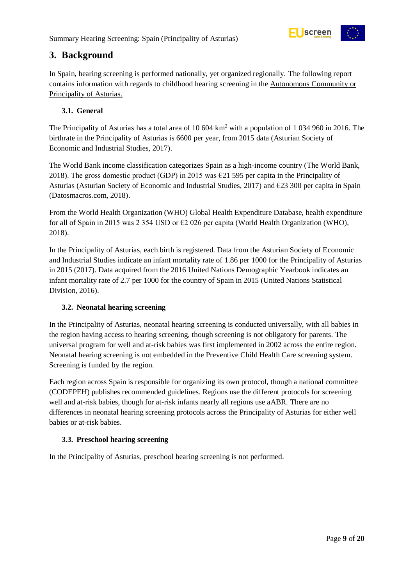

## <span id="page-8-0"></span>**3. Background**

In Spain, hearing screening is performed nationally, yet organized regionally. The following report contains information with regards to childhood hearing screening in the Autonomous Community or Principality of Asturias.

#### <span id="page-8-1"></span>**3.1. General**

The Principality of Asturias has a total area of 10 604  $km^2$  with a population of 1 034 960 in 2016. The birthrate in the Principality of Asturias is 6600 per year, from 2015 data (Asturian Society of Economic and Industrial Studies, 2017).

The World Bank income classification categorizes Spain as a high-income country (The World Bank, 2018). The gross domestic product (GDP) in 2015 was  $\epsilon$ 21 595 per capita in the Principality of Asturias (Asturian Society of Economic and Industrial Studies, 2017) and €23 300 per capita in Spain (Datosmacros.com, 2018).

From the World Health Organization (WHO) Global Health Expenditure Database, health expenditure for all of Spain in 2015 was 2 354 USD or  $\epsilon$ 2 026 per capita (World Health Organization (WHO), 2018).

In the Principality of Asturias, each birth is registered. Data from the Asturian Society of Economic and Industrial Studies indicate an infant mortality rate of 1.86 per 1000 for the Principality of Asturias in 2015 (2017). Data acquired from the 2016 United Nations Demographic Yearbook indicates an infant mortality rate of 2.7 per 1000 for the country of Spain in 2015 (United Nations Statistical Division, 2016).

#### <span id="page-8-2"></span>**3.2. Neonatal hearing screening**

In the Principality of Asturias, neonatal hearing screening is conducted universally, with all babies in the region having access to hearing screening, though screening is not obligatory for parents. The universal program for well and at-risk babies was first implemented in 2002 across the entire region. Neonatal hearing screening is not embedded in the Preventive Child Health Care screening system. Screening is funded by the region.

Each region across Spain is responsible for organizing its own protocol, though a national committee (CODEPEH) publishes recommended guidelines. Regions use the different protocols for screening well and at-risk babies, though for at-risk infants nearly all regions use aABR. There are no differences in neonatal hearing screening protocols across the Principality of Asturias for either well babies or at-risk babies.

#### <span id="page-8-3"></span>**3.3. Preschool hearing screening**

In the Principality of Asturias, preschool hearing screening is not performed.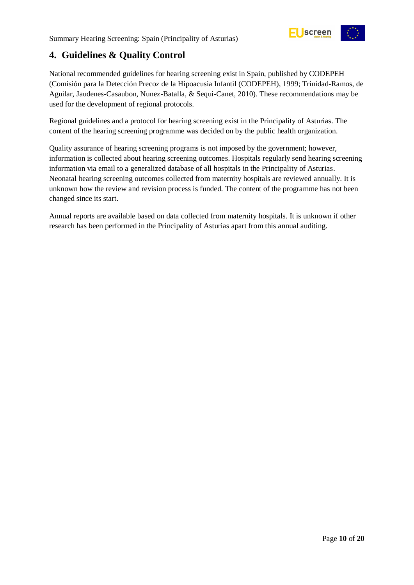

## <span id="page-9-0"></span>**4. Guidelines & Quality Control**

National recommended guidelines for hearing screening exist in Spain, published by CODEPEH (Comisión para la Detección Precoz de la Hipoacusia Infantil (CODEPEH), 1999; Trinidad-Ramos, de Aguilar, Jaudenes-Casaubon, Nunez-Batalla, & Sequi-Canet, 2010). These recommendations may be used for the development of regional protocols.

Regional guidelines and a protocol for hearing screening exist in the Principality of Asturias. The content of the hearing screening programme was decided on by the public health organization.

Quality assurance of hearing screening programs is not imposed by the government; however, information is collected about hearing screening outcomes. Hospitals regularly send hearing screening information via email to a generalized database of all hospitals in the Principality of Asturias. Neonatal hearing screening outcomes collected from maternity hospitals are reviewed annually. It is unknown how the review and revision process is funded. The content of the programme has not been changed since its start.

Annual reports are available based on data collected from maternity hospitals. It is unknown if other research has been performed in the Principality of Asturias apart from this annual auditing.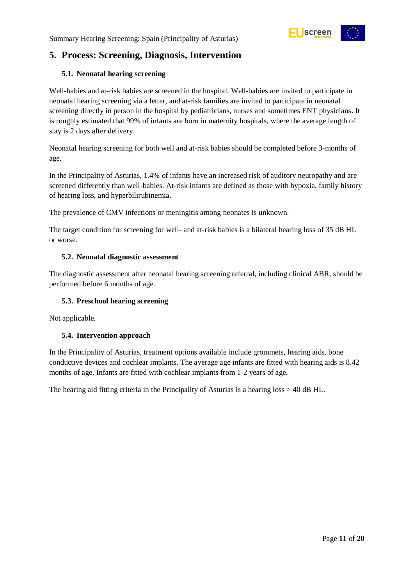

## <span id="page-10-0"></span>**5. Process: Screening, Diagnosis, Intervention**

#### <span id="page-10-1"></span>**5.1. Neonatal hearing screening**

Well-babies and at-risk babies are screened in the hospital. Well-babies are invited to participate in neonatal hearing screening via a letter, and at-risk families are invited to participate in neonatal screening directly in person in the hospital by pediatricians, nurses and sometimes ENT physicians. It is roughly estimated that 99% of infants are born in maternity hospitals, where the average length of stay is 2 days after delivery.

Neonatal hearing screening for both well and at-risk babies should be completed before 3-months of age.

In the Principality of Asturias, 1.4% of infants have an increased risk of auditory neuropathy and are screened differently than well-babies. At-risk infants are defined as those with hypoxia, family history of hearing loss, and hyperbilirubinemia.

The prevalence of CMV infections or meningitis among neonates is unknown.

The target condition for screening for well- and at-risk babies is a bilateral hearing loss of 35 dB HL or worse.

#### <span id="page-10-2"></span>**5.2. Neonatal diagnostic assessment**

The diagnostic assessment after neonatal hearing screening referral, including clinical ABR, should be performed before 6 months of age.

#### <span id="page-10-3"></span>**5.3. Preschool hearing screening**

Not applicable.

#### <span id="page-10-4"></span>**5.4. Intervention approach**

In the Principality of Asturias, treatment options available include grommets, hearing aids, bone conductive devices and cochlear implants. The average age infants are fitted with hearing aids is 8.42 months of age. Infants are fitted with cochlear implants from 1-2 years of age.

The hearing aid fitting criteria in the Principality of Asturias is a hearing loss > 40 dB HL.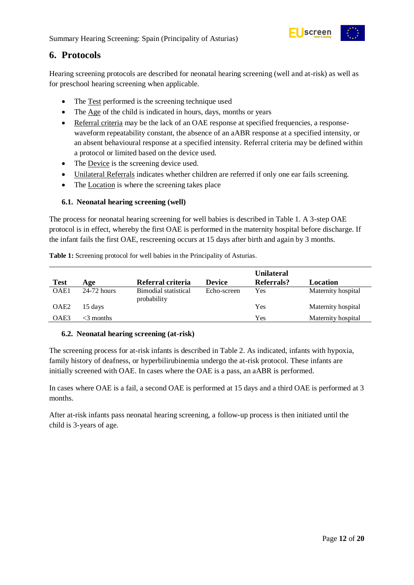

## <span id="page-11-0"></span>**6. Protocols**

Hearing screening protocols are described for neonatal hearing screening (well and at-risk) as well as for preschool hearing screening when applicable.

- The Test performed is the screening technique used
- The Age of the child is indicated in hours, days, months or years
- Referral criteria may be the lack of an OAE response at specified frequencies, a responsewaveform repeatability constant, the absence of an aABR response at a specified intensity, or an absent behavioural response at a specified intensity. Referral criteria may be defined within a protocol or limited based on the device used.
- The Device is the screening device used.
- Unilateral Referrals indicates whether children are referred if only one ear fails screening.
- The Location is where the screening takes place

#### <span id="page-11-1"></span>**6.1. Neonatal hearing screening (well)**

The process for neonatal hearing screening for well babies is described in Table 1. A 3-step OAE protocol is in effect, whereby the first OAE is performed in the maternity hospital before discharge. If the infant fails the first OAE, rescreening occurs at 15 days after birth and again by 3 months.

<span id="page-11-3"></span>**Table 1:** Screening protocol for well babies in the Principality of Asturias.

|                  |               |                                     |               | <b>Unilateral</b> |                    |
|------------------|---------------|-------------------------------------|---------------|-------------------|--------------------|
| <b>Test</b>      | Age           | Referral criteria                   | <b>Device</b> | Referrals?        | Location           |
| OAE1             | $24-72$ hours | Bimodial statistical<br>probability | Echo-screen   | Yes               | Maternity hospital |
| OAE <sub>2</sub> | 15 days       |                                     |               | Yes               | Maternity hospital |
| OAE <sub>3</sub> | $<$ 3 months  |                                     |               | Yes               | Maternity hospital |

#### <span id="page-11-2"></span>**6.2. Neonatal hearing screening (at-risk)**

The screening process for at-risk infants is described in Table 2. As indicated, infants with hypoxia, family history of deafness, or hyperbilirubinemia undergo the at-risk protocol. These infants are initially screened with OAE. In cases where the OAE is a pass, an aABR is performed.

In cases where OAE is a fail, a second OAE is performed at 15 days and a third OAE is performed at 3 months.

After at-risk infants pass neonatal hearing screening, a follow-up process is then initiated until the child is 3-years of age.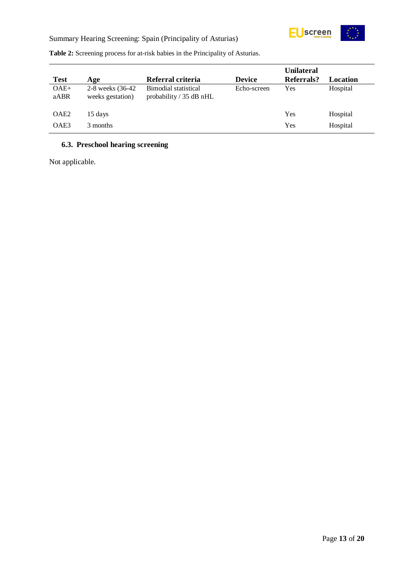

|                  |                                       |                                                   |               | <b>Unilateral</b> |          |
|------------------|---------------------------------------|---------------------------------------------------|---------------|-------------------|----------|
| <b>Test</b>      | Age                                   | Referral criteria                                 | <b>Device</b> | Referrals?        | Location |
| $OAE+$<br>aABR   | 2-8 weeks (36-42)<br>weeks gestation) | Bimodial statistical<br>probability $/$ 35 dB nHL | Echo-screen   | Yes               | Hospital |
| OAE <sub>2</sub> | 15 days                               |                                                   |               | Yes               | Hospital |
| OAE3             | 3 months                              |                                                   |               | Yes               | Hospital |

<span id="page-12-1"></span>**Table 2:** Screening process for at-risk babies in the Principality of Asturias.

#### <span id="page-12-0"></span>**6.3. Preschool hearing screening**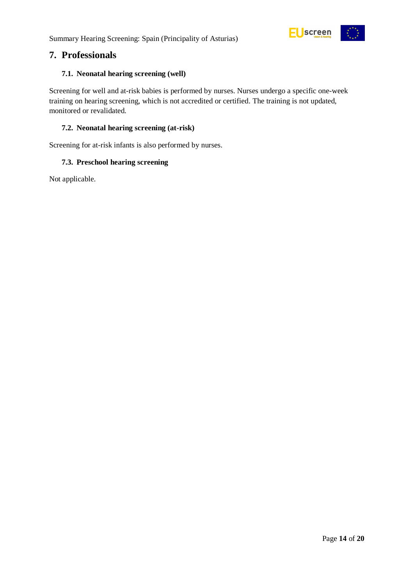

### <span id="page-13-0"></span>**7. Professionals**

#### <span id="page-13-1"></span>**7.1. Neonatal hearing screening (well)**

Screening for well and at-risk babies is performed by nurses. Nurses undergo a specific one-week training on hearing screening, which is not accredited or certified. The training is not updated, monitored or revalidated.

#### <span id="page-13-2"></span>**7.2. Neonatal hearing screening (at-risk)**

Screening for at-risk infants is also performed by nurses.

#### <span id="page-13-3"></span>**7.3. Preschool hearing screening**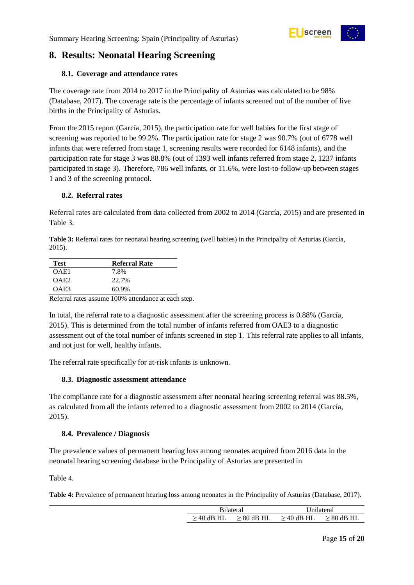

## <span id="page-14-0"></span>**8. Results: Neonatal Hearing Screening**

#### <span id="page-14-1"></span>**8.1. Coverage and attendance rates**

The coverage rate from 2014 to 2017 in the Principality of Asturias was calculated to be 98% (Database, 2017). The coverage rate is the percentage of infants screened out of the number of live births in the Principality of Asturias.

From the 2015 report (García, 2015), the participation rate for well babies for the first stage of screening was reported to be 99.2%. The participation rate for stage 2 was 90.7% (out of 6778 well infants that were referred from stage 1, screening results were recorded for 6148 infants), and the participation rate for stage 3 was 88.8% (out of 1393 well infants referred from stage 2, 1237 infants participated in stage 3). Therefore, 786 well infants, or 11.6%, were lost-to-follow-up between stages 1 and 3 of the screening protocol.

#### <span id="page-14-2"></span>**8.2. Referral rates**

Referral rates are calculated from data collected from 2002 to 2014 (García, 2015) and are presented in Table 3.

<span id="page-14-5"></span>**Table 3:** Referral rates for neonatal hearing screening (well babies) in the Principality of Asturias (García, 2015).

| Test             | <b>Referral Rate</b> |
|------------------|----------------------|
| OAE1             | 7.8%                 |
| OAE <sub>2</sub> | 22.7%                |
| OAE3             | 60.9%                |
|                  |                      |

Referral rates assume 100% attendance at each step.

In total, the referral rate to a diagnostic assessment after the screening process is 0.88% (García, 2015). This is determined from the total number of infants referred from OAE3 to a diagnostic assessment out of the total number of infants screened in step 1. This referral rate applies to all infants, and not just for well, healthy infants.

The referral rate specifically for at-risk infants is unknown.

#### <span id="page-14-3"></span>**8.3. Diagnostic assessment attendance**

The compliance rate for a diagnostic assessment after neonatal hearing screening referral was 88.5%, as calculated from all the infants referred to a diagnostic assessment from 2002 to 2014 (García, 2015).

#### <span id="page-14-4"></span>**8.4. Prevalence / Diagnosis**

The prevalence values of permanent hearing loss among neonates acquired from 2016 data in the neonatal hearing screening database in the Principality of Asturias are presented in

<span id="page-14-7"></span>[Table](#page-14-7) 4.

<span id="page-14-6"></span>**Table 4:** Prevalence of permanent hearing loss among neonates in the Principality of Asturias (Database, 2017).

| <b>Bilateral</b> |              | Unilateral   |              |  |
|------------------|--------------|--------------|--------------|--|
| $>$ 40 dB HL     | $> 80$ dB HL | $>$ 40 dB HL | $> 80$ dB HL |  |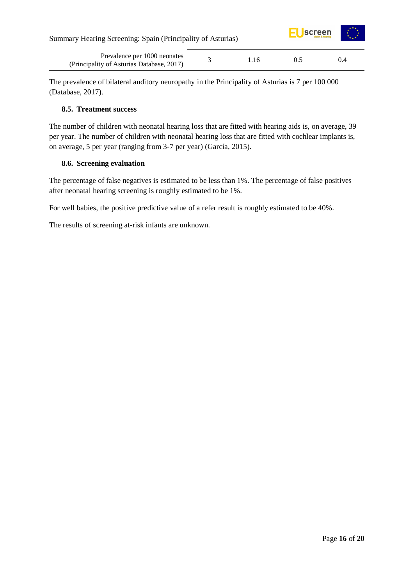| Summary Hearing Screening: Spain (Principality of Asturias)               |     |    | $E$ Uscreen |
|---------------------------------------------------------------------------|-----|----|-------------|
| Prevalence per 1000 neonates<br>(Principality of Asturias Database, 2017) | 116 | 05 | 0.4         |

The prevalence of bilateral auditory neuropathy in the Principality of Asturias is 7 per 100 000 (Database, 2017).

#### <span id="page-15-0"></span>**8.5. Treatment success**

The number of children with neonatal hearing loss that are fitted with hearing aids is, on average, 39 per year. The number of children with neonatal hearing loss that are fitted with cochlear implants is, on average, 5 per year (ranging from 3-7 per year) (García, 2015).

#### <span id="page-15-1"></span>**8.6. Screening evaluation**

The percentage of false negatives is estimated to be less than 1%. The percentage of false positives after neonatal hearing screening is roughly estimated to be 1%.

For well babies, the positive predictive value of a refer result is roughly estimated to be 40%.

The results of screening at-risk infants are unknown.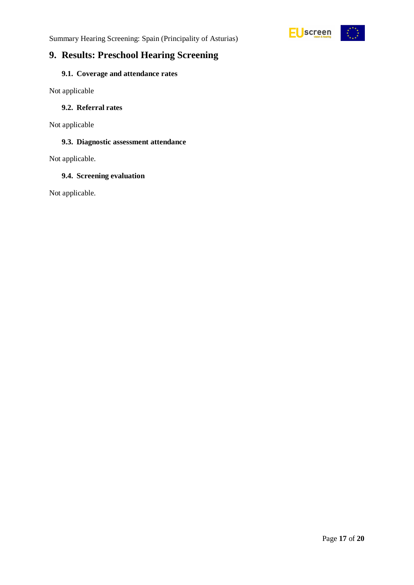



### <span id="page-16-0"></span>**9. Results: Preschool Hearing Screening**

### <span id="page-16-1"></span>**9.1. Coverage and attendance rates**

Not applicable

#### <span id="page-16-2"></span>**9.2. Referral rates**

Not applicable

#### <span id="page-16-3"></span>**9.3. Diagnostic assessment attendance**

Not applicable.

#### <span id="page-16-4"></span>**9.4. Screening evaluation**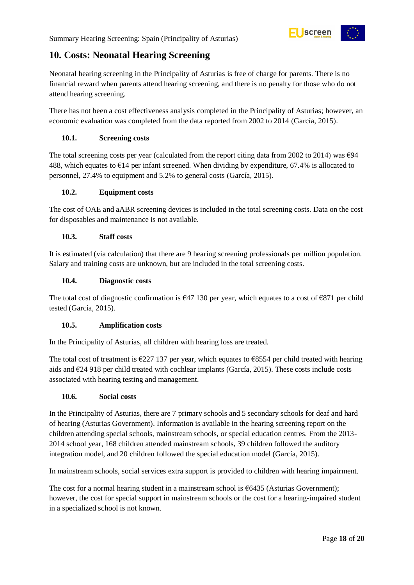

## <span id="page-17-0"></span>**10. Costs: Neonatal Hearing Screening**

Neonatal hearing screening in the Principality of Asturias is free of charge for parents. There is no financial reward when parents attend hearing screening, and there is no penalty for those who do not attend hearing screening.

There has not been a cost effectiveness analysis completed in the Principality of Asturias; however, an economic evaluation was completed from the data reported from 2002 to 2014 (García, 2015).

#### <span id="page-17-1"></span>**10.1. Screening costs**

The total screening costs per year (calculated from the report citing data from 2002 to 2014) was  $\epsilon$ 94 488, which equates to  $\epsilon$ 14 per infant screened. When dividing by expenditure, 67.4% is allocated to personnel, 27.4% to equipment and 5.2% to general costs (García, 2015).

#### <span id="page-17-2"></span>**10.2. Equipment costs**

The cost of OAE and aABR screening devices is included in the total screening costs. Data on the cost for disposables and maintenance is not available.

#### <span id="page-17-3"></span>**10.3. Staff costs**

It is estimated (via calculation) that there are 9 hearing screening professionals per million population. Salary and training costs are unknown, but are included in the total screening costs.

#### <span id="page-17-4"></span>**10.4. Diagnostic costs**

The total cost of diagnostic confirmation is  $647$  130 per year, which equates to a cost of  $6871$  per child tested (García, 2015).

#### <span id="page-17-5"></span>**10.5. Amplification costs**

In the Principality of Asturias, all children with hearing loss are treated.

The total cost of treatment is  $\epsilon$ 227 137 per year, which equates to  $\epsilon$ 8554 per child treated with hearing aids and €24 918 per child treated with cochlear implants (García, 2015). These costs include costs associated with hearing testing and management.

#### <span id="page-17-6"></span>**10.6. Social costs**

In the Principality of Asturias, there are 7 primary schools and 5 secondary schools for deaf and hard of hearing (Asturias Government). Information is available in the hearing screening report on the children attending special schools, mainstream schools, or special education centres. From the 2013- 2014 school year, 168 children attended mainstream schools, 39 children followed the auditory integration model, and 20 children followed the special education model (García, 2015).

In mainstream schools, social services extra support is provided to children with hearing impairment.

The cost for a normal hearing student in a mainstream school is  $\epsilon$ 6435 (Asturias Government); however, the cost for special support in mainstream schools or the cost for a hearing-impaired student in a specialized school is not known.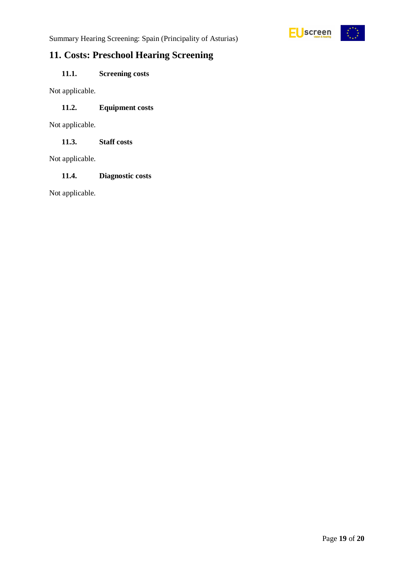

Summary Hearing Screening: Spain (Principality of Asturias)

## <span id="page-18-0"></span>**11. Costs: Preschool Hearing Screening**

### <span id="page-18-1"></span>**11.1. Screening costs**

Not applicable.

#### <span id="page-18-2"></span>**11.2. Equipment costs**

Not applicable.

<span id="page-18-3"></span>**11.3. Staff costs**

Not applicable.

#### <span id="page-18-4"></span>**11.4. Diagnostic costs**